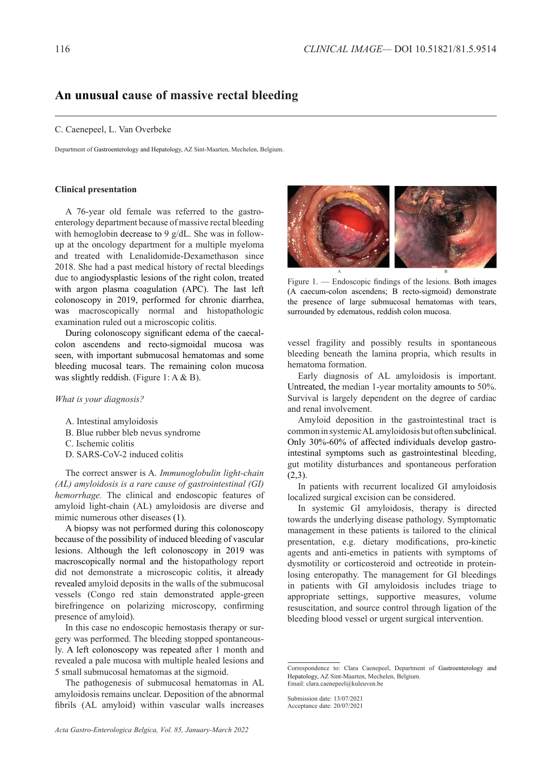## **An unusual cause of massive rectal bleeding**

## C. Caenepeel, L. Van Overbeke

Department of Gastroenterology and Hepatology, AZ Sint-Maarten, Mechelen, Belgium.

## **Clinical presentation**

A 76-year old female was referred to the gastroenterology department because of massive rectal bleeding with hemoglobin decrease to 9 g/dL. She was in followup at the oncology department for a multiple myeloma and treated with Lenalidomide-Dexamethason since 2018. She had a past medical history of rectal bleedings due to angiodysplastic lesions of the right colon, treated with argon plasma coagulation (APC). The last left colonoscopy in 2019, performed for chronic diarrhea, was macroscopically normal and histopathologic examination ruled out a microscopic colitis.

During colonoscopy significant edema of the caecalcolon ascendens and recto-sigmoidal mucosa was seen, with important submucosal hematomas and some bleeding mucosal tears. The remaining colon mucosa was slightly reddish. (Figure 1: A & B).

*What is your diagnosis?*

- A. Intestinal amyloidosis
- B. Blue rubber bleb nevus syndrome
- C. Ischemic colitis
- D. SARS-CoV-2 induced colitis

The correct answer is A. *Immunoglobulin light-chain (AL) amyloidosis is a rare cause of gastrointestinal (GI) hemorrhage.* The clinical and endoscopic features of amyloid light-chain (AL) amyloidosis are diverse and mimic numerous other diseases (1).

A biopsy was not performed during this colonoscopy because of the possibility of induced bleeding of vascular lesions. Although the left colonoscopy in 2019 was macroscopically normal and the histopathology report did not demonstrate a microscopic colitis, it already revealed amyloid deposits in the walls of the submucosal vessels (Congo red stain demonstrated apple-green birefringence on polarizing microscopy, confirming presence of amyloid).

In this case no endoscopic hemostasis therapy or surgery was performed. The bleeding stopped spontaneously. A left colonoscopy was repeated after 1 month and revealed a pale mucosa with multiple healed lesions and 5 small submucosal hematomas at the sigmoid.

The pathogenesis of submucosal hematomas in AL amyloidosis remains unclear. Deposition of the abnormal fibrils (AL amyloid) within vascular walls increases



Figure 1. — Endoscopic findings of the lesions. Both images (A caecum-colon ascendens; B recto-sigmoid) demonstrate the presence of large submucosal hematomas with tears, surrounded by edematous, reddish colon mucosa.

vessel fragility and possibly results in spontaneous bleeding beneath the lamina propria, which results in hematoma formation.

Early diagnosis of AL amyloidosis is important. Untreated, the median 1-year mortality amounts to 50%. Survival is largely dependent on the degree of cardiac and renal involvement.

Amyloid deposition in the gastrointestinal tract is common in systemic AL amyloidosis but often subclinical. Only 30%-60% of affected individuals develop gastrointestinal symptoms such as gastrointestinal bleeding, gut motility disturbances and spontaneous perforation  $(2,3)$ .

In patients with recurrent localized GI amyloidosis localized surgical excision can be considered.

In systemic GI amyloidosis, therapy is directed towards the underlying disease pathology. Symptomatic management in these patients is tailored to the clinical presentation, e.g. dietary modifications, pro-kinetic agents and anti-emetics in patients with symptoms of dysmotility or corticosteroid and octreotide in proteinlosing enteropathy. The management for GI bleedings in patients with GI amyloidosis includes triage to appropriate settings, supportive measures, volume resuscitation, and source control through ligation of the bleeding blood vessel or urgent surgical intervention.

Submission date: 13/07/2021 Acceptance date: 20/07/2021

Correspondence to: Clara Caenepeel, Department of Gastroenterology and Hepatology, AZ Sint-Maarten, Mechelen, Belgium. Email: clara.caenepeel@kuleuven.be